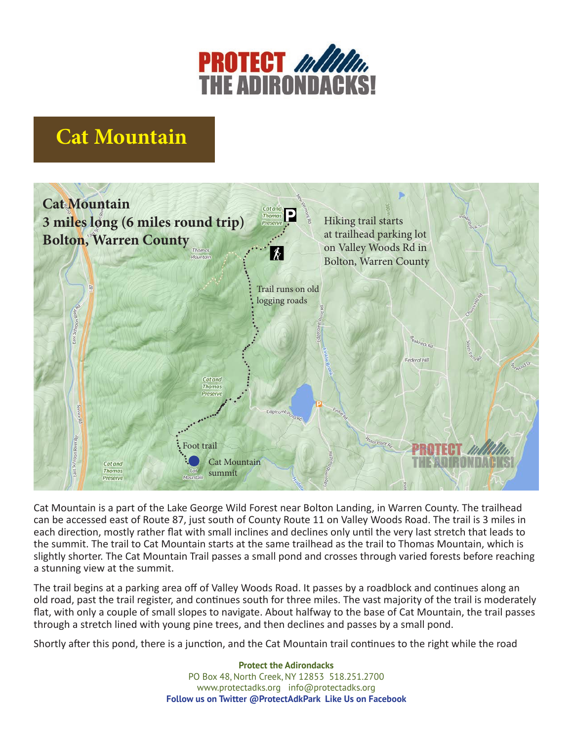

## **Cat Mountain**



Cat Mountain is a part of the Lake George Wild Forest near Bolton Landing, in Warren County. The trailhead can be accessed east of Route 87, just south of County Route 11 on Valley Woods Road. The trail is 3 miles in each direction, mostly rather flat with small inclines and declines only until the very last stretch that leads to the summit. The trail to Cat Mountain starts at the same trailhead as the trail to Thomas Mountain, which is slightly shorter. The Cat Mountain Trail passes a small pond and crosses through varied forests before reaching a stunning view at the summit.

The trail begins at a parking area off of Valley Woods Road. It passes by a roadblock and continues along an old road, past the trail register, and continues south for three miles. The vast majority of the trail is moderately flat, with only a couple of small slopes to navigate. About halfway to the base of Cat Mountain, the trail passes through a stretch lined with young pine trees, and then declines and passes by a small pond.

Shortly after this pond, there is a junction, and the Cat Mountain trail continues to the right while the road

**Protect the Adirondacks** PO Box 48, North Creek, NY 12853 518.251.2700 www.protectadks.org info@protectadks.org **Follow us on Twitter @ProtectAdkPark Like Us on Facebook**